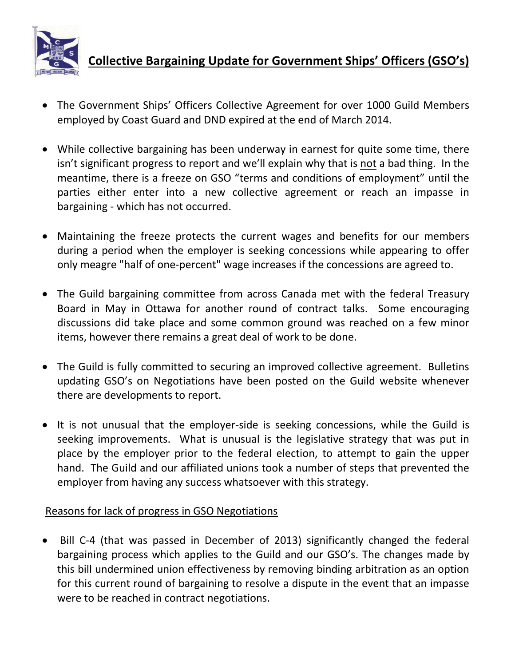

## **Collective Bargaining Update for Government Ships' Officers (GSO's)**

- The Government Ships' Officers Collective Agreement for over 1000 Guild Members employed by Coast Guard and DND expired at the end of March 2014.
- While collective bargaining has been underway in earnest for quite some time, there isn't significant progress to report and we'll explain why that is not a bad thing. In the meantime, there is a freeze on GSO "terms and conditions of employment" until the parties either enter into a new collective agreement or reach an impasse in bargaining - which has not occurred.
- Maintaining the freeze protects the current wages and benefits for our members during a period when the employer is seeking concessions while appearing to offer only meagre "half of one-percent" wage increases if the concessions are agreed to.
- The Guild bargaining committee from across Canada met with the federal Treasury Board in May in Ottawa for another round of contract talks. Some encouraging discussions did take place and some common ground was reached on a few minor items, however there remains a great deal of work to be done.
- The Guild is fully committed to securing an improved collective agreement. Bulletins updating GSO's on Negotiations have been posted on the Guild website whenever there are developments to report.
- It is not unusual that the employer-side is seeking concessions, while the Guild is seeking improvements. What is unusual is the legislative strategy that was put in place by the employer prior to the federal election, to attempt to gain the upper hand. The Guild and our affiliated unions took a number of steps that prevented the employer from having any success whatsoever with this strategy.

## Reasons for lack of progress in GSO Negotiations

• Bill C-4 (that was passed in December of 2013) significantly changed the federal bargaining process which applies to the Guild and our GSO's. The changes made by this bill undermined union effectiveness by removing binding arbitration as an option for this current round of bargaining to resolve a dispute in the event that an impasse were to be reached in contract negotiations.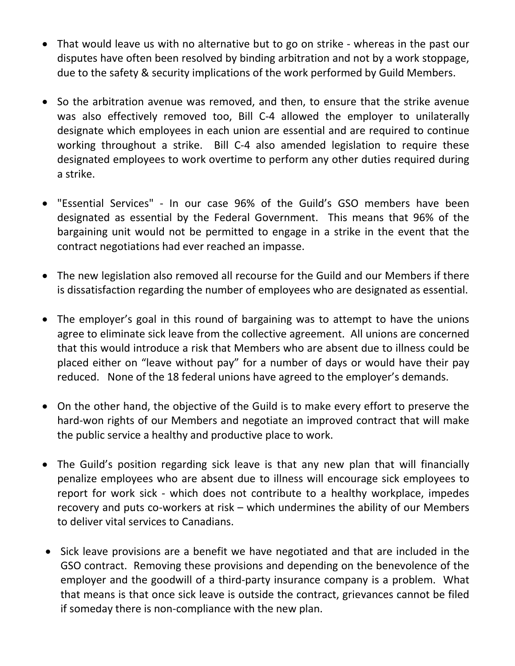- That would leave us with no alternative but to go on strike whereas in the past our disputes have often been resolved by binding arbitration and not by a work stoppage, due to the safety & security implications of the work performed by Guild Members.
- So the arbitration avenue was removed, and then, to ensure that the strike avenue was also effectively removed too, Bill C-4 allowed the employer to unilaterally designate which employees in each union are essential and are required to continue working throughout a strike. Bill C-4 also amended legislation to require these designated employees to work overtime to perform any other duties required during a strike.
- "Essential Services" In our case 96% of the Guild's GSO members have been designated as essential by the Federal Government. This means that 96% of the bargaining unit would not be permitted to engage in a strike in the event that the contract negotiations had ever reached an impasse.
- The new legislation also removed all recourse for the Guild and our Members if there is dissatisfaction regarding the number of employees who are designated as essential.
- The employer's goal in this round of bargaining was to attempt to have the unions agree to eliminate sick leave from the collective agreement. All unions are concerned that this would introduce a risk that Members who are absent due to illness could be placed either on "leave without pay" for a number of days or would have their pay reduced. None of the 18 federal unions have agreed to the employer's demands.
- On the other hand, the objective of the Guild is to make every effort to preserve the hard-won rights of our Members and negotiate an improved contract that will make the public service a healthy and productive place to work.
- The Guild's position regarding sick leave is that any new plan that will financially penalize employees who are absent due to illness will encourage sick employees to report for work sick - which does not contribute to a healthy workplace, impedes recovery and puts co-workers at risk – which undermines the ability of our Members to deliver vital services to Canadians.
- Sick leave provisions are a benefit we have negotiated and that are included in the GSO contract. Removing these provisions and depending on the benevolence of the employer and the goodwill of a third-party insurance company is a problem. What that means is that once sick leave is outside the contract, grievances cannot be filed if someday there is non-compliance with the new plan.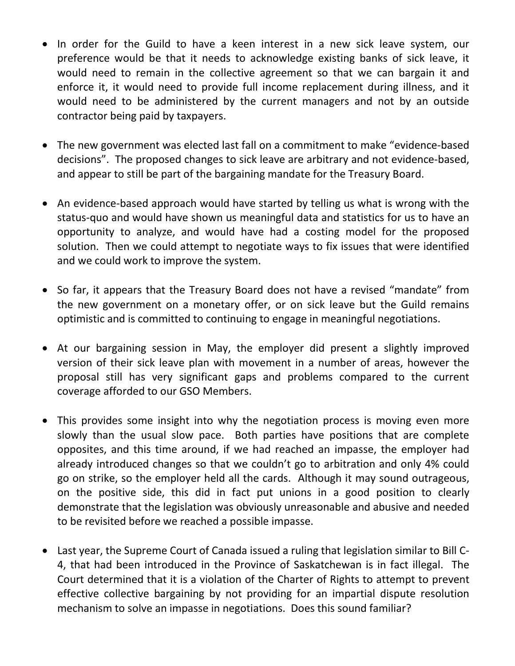- In order for the Guild to have a keen interest in a new sick leave system, our preference would be that it needs to acknowledge existing banks of sick leave, it would need to remain in the collective agreement so that we can bargain it and enforce it, it would need to provide full income replacement during illness, and it would need to be administered by the current managers and not by an outside contractor being paid by taxpayers.
- The new government was elected last fall on a commitment to make "evidence-based decisions". The proposed changes to sick leave are arbitrary and not evidence-based, and appear to still be part of the bargaining mandate for the Treasury Board.
- An evidence-based approach would have started by telling us what is wrong with the status-quo and would have shown us meaningful data and statistics for us to have an opportunity to analyze, and would have had a costing model for the proposed solution. Then we could attempt to negotiate ways to fix issues that were identified and we could work to improve the system.
- So far, it appears that the Treasury Board does not have a revised "mandate" from the new government on a monetary offer, or on sick leave but the Guild remains optimistic and is committed to continuing to engage in meaningful negotiations.
- At our bargaining session in May, the employer did present a slightly improved version of their sick leave plan with movement in a number of areas, however the proposal still has very significant gaps and problems compared to the current coverage afforded to our GSO Members.
- This provides some insight into why the negotiation process is moving even more slowly than the usual slow pace. Both parties have positions that are complete opposites, and this time around, if we had reached an impasse, the employer had already introduced changes so that we couldn't go to arbitration and only 4% could go on strike, so the employer held all the cards. Although it may sound outrageous, on the positive side, this did in fact put unions in a good position to clearly demonstrate that the legislation was obviously unreasonable and abusive and needed to be revisited before we reached a possible impasse.
- Last year, the Supreme Court of Canada issued a ruling that legislation similar to Bill C-4, that had been introduced in the Province of Saskatchewan is in fact illegal. The Court determined that it is a violation of the Charter of Rights to attempt to prevent effective collective bargaining by not providing for an impartial dispute resolution mechanism to solve an impasse in negotiations. Does this sound familiar?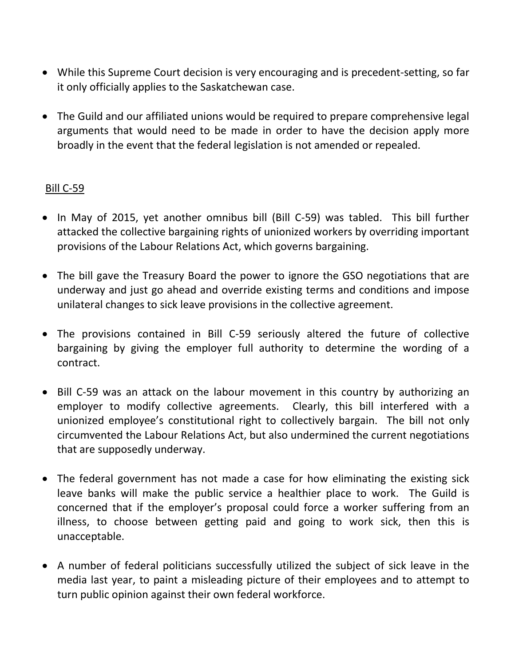- While this Supreme Court decision is very encouraging and is precedent-setting, so far it only officially applies to the Saskatchewan case.
- The Guild and our affiliated unions would be required to prepare comprehensive legal arguments that would need to be made in order to have the decision apply more broadly in the event that the federal legislation is not amended or repealed.

## Bill C-59

- In May of 2015, yet another omnibus bill (Bill C-59) was tabled. This bill further attacked the collective bargaining rights of unionized workers by overriding important provisions of the Labour Relations Act, which governs bargaining.
- The bill gave the Treasury Board the power to ignore the GSO negotiations that are underway and just go ahead and override existing terms and conditions and impose unilateral changes to sick leave provisions in the collective agreement.
- The provisions contained in Bill C-59 seriously altered the future of collective bargaining by giving the employer full authority to determine the wording of a contract.
- Bill C-59 was an attack on the labour movement in this country by authorizing an employer to modify collective agreements. Clearly, this bill interfered with a unionized employee's constitutional right to collectively bargain. The bill not only circumvented the Labour Relations Act, but also undermined the current negotiations that are supposedly underway.
- The federal government has not made a case for how eliminating the existing sick leave banks will make the public service a healthier place to work. The Guild is concerned that if the employer's proposal could force a worker suffering from an illness, to choose between getting paid and going to work sick, then this is unacceptable.
- A number of federal politicians successfully utilized the subject of sick leave in the media last year, to paint a misleading picture of their employees and to attempt to turn public opinion against their own federal workforce.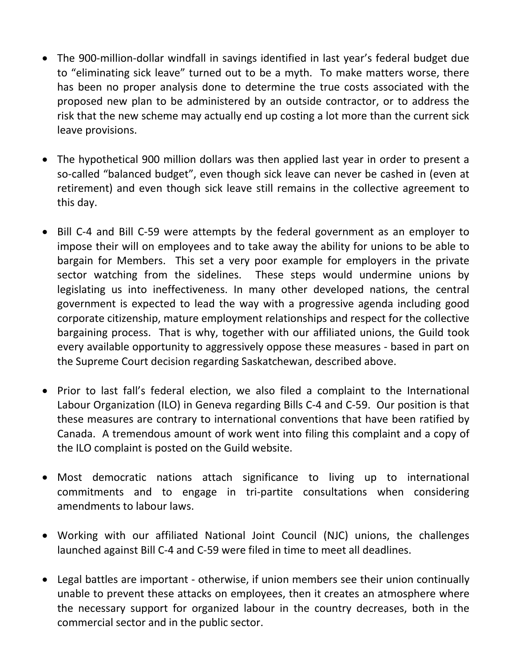- The 900-million-dollar windfall in savings identified in last year's federal budget due to "eliminating sick leave" turned out to be a myth. To make matters worse, there has been no proper analysis done to determine the true costs associated with the proposed new plan to be administered by an outside contractor, or to address the risk that the new scheme may actually end up costing a lot more than the current sick leave provisions.
- The hypothetical 900 million dollars was then applied last year in order to present a so-called "balanced budget", even though sick leave can never be cashed in (even at retirement) and even though sick leave still remains in the collective agreement to this day.
- Bill C-4 and Bill C-59 were attempts by the federal government as an employer to impose their will on employees and to take away the ability for unions to be able to bargain for Members. This set a very poor example for employers in the private sector watching from the sidelines. These steps would undermine unions by legislating us into ineffectiveness. In many other developed nations, the central government is expected to lead the way with a progressive agenda including good corporate citizenship, mature employment relationships and respect for the collective bargaining process. That is why, together with our affiliated unions, the Guild took every available opportunity to aggressively oppose these measures - based in part on the Supreme Court decision regarding Saskatchewan, described above.
- Prior to last fall's federal election, we also filed a complaint to the International Labour Organization (ILO) in Geneva regarding Bills C-4 and C-59. Our position is that these measures are contrary to international conventions that have been ratified by Canada. A tremendous amount of work went into filing this complaint and a copy of the ILO complaint is posted on the Guild website.
- Most democratic nations attach significance to living up to international commitments and to engage in tri-partite consultations when considering amendments to labour laws.
- Working with our affiliated National Joint Council (NJC) unions, the challenges launched against Bill C-4 and C-59 were filed in time to meet all deadlines.
- Legal battles are important otherwise, if union members see their union continually unable to prevent these attacks on employees, then it creates an atmosphere where the necessary support for organized labour in the country decreases, both in the commercial sector and in the public sector.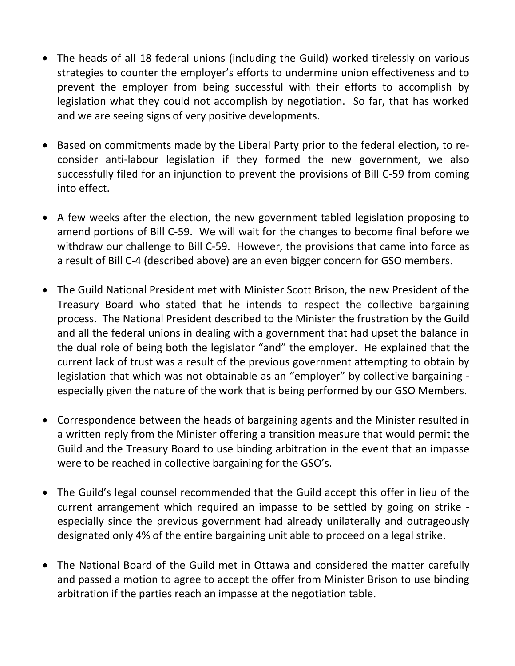- The heads of all 18 federal unions (including the Guild) worked tirelessly on various strategies to counter the employer's efforts to undermine union effectiveness and to prevent the employer from being successful with their efforts to accomplish by legislation what they could not accomplish by negotiation. So far, that has worked and we are seeing signs of very positive developments.
- Based on commitments made by the Liberal Party prior to the federal election, to reconsider anti-labour legislation if they formed the new government, we also successfully filed for an injunction to prevent the provisions of Bill C-59 from coming into effect.
- A few weeks after the election, the new government tabled legislation proposing to amend portions of Bill C-59. We will wait for the changes to become final before we withdraw our challenge to Bill C-59. However, the provisions that came into force as a result of Bill C-4 (described above) are an even bigger concern for GSO members.
- The Guild National President met with Minister Scott Brison, the new President of the Treasury Board who stated that he intends to respect the collective bargaining process. The National President described to the Minister the frustration by the Guild and all the federal unions in dealing with a government that had upset the balance in the dual role of being both the legislator "and" the employer. He explained that the current lack of trust was a result of the previous government attempting to obtain by legislation that which was not obtainable as an "employer" by collective bargaining especially given the nature of the work that is being performed by our GSO Members.
- Correspondence between the heads of bargaining agents and the Minister resulted in a written reply from the Minister offering a transition measure that would permit the Guild and the Treasury Board to use binding arbitration in the event that an impasse were to be reached in collective bargaining for the GSO's.
- The Guild's legal counsel recommended that the Guild accept this offer in lieu of the current arrangement which required an impasse to be settled by going on strike especially since the previous government had already unilaterally and outrageously designated only 4% of the entire bargaining unit able to proceed on a legal strike.
- The National Board of the Guild met in Ottawa and considered the matter carefully and passed a motion to agree to accept the offer from Minister Brison to use binding arbitration if the parties reach an impasse at the negotiation table.